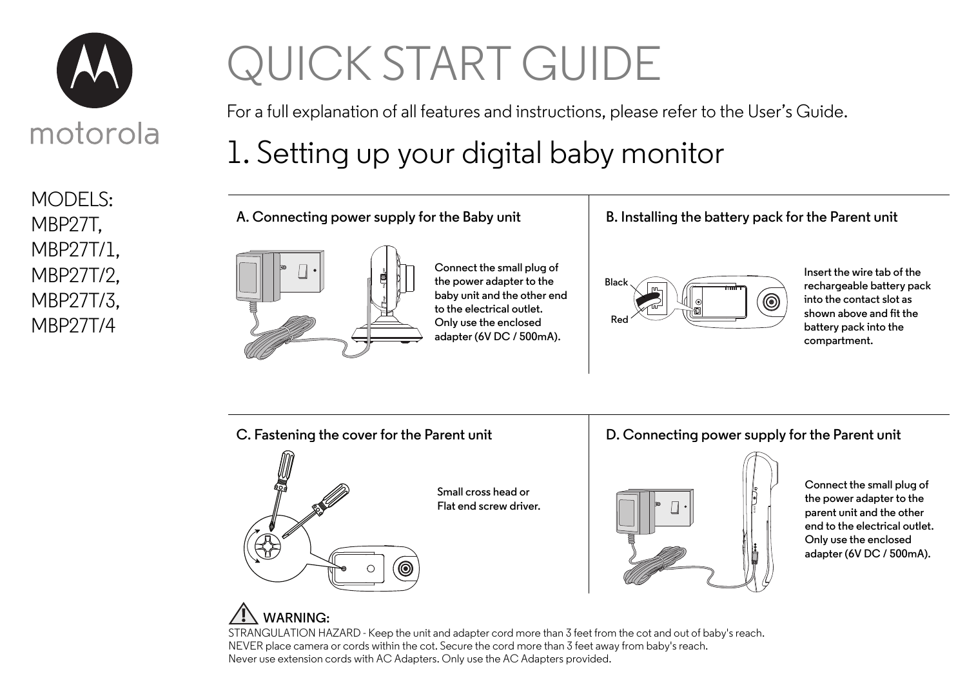

MODELS: MBP27T, MBP27T/1, MBP27T/2, MBP27T/3, MBP27T/4

# QUICK START GUIDE

For a full explanation of all features and instructions, please refer to the User's Guide.

## 1. Setting up your digital baby monitor

**A. Connecting power supply for the Baby unit**



**Connect the small plug of the power adapter to the baby unit and the other end to the electrical outlet. Only use the enclosed adapter (6V DC / 500mA).**

#### **B. Installing the battery pack for the Parent unit**



**Insert the wire tab of the rechargeable battery pack into the contact slot as shown above and fit the battery pack into the compartment.**



**Connect the small plug of the power adapter to the parent unit and the other end to the electrical outlet. Only use the enclosed adapter (6V DC / 500mA).**

### **WARNING:**

STRANGULATION HAZARD - Keep the unit and adapter cord more than 3 feet from the cot and out of baby's reach. NEVER place camera or cords within the cot. Secure the cord more than 3 feet away from baby's reach. Never use extension cords with AC Adapters. Only use the AC Adapters provided.